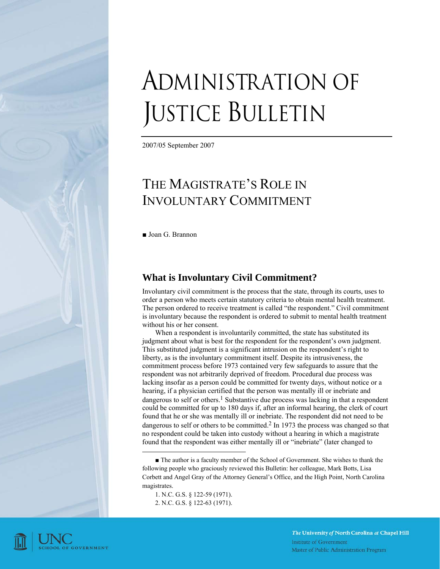# ADMINISTRATION OF JUSTICE BULLETIN

2007/05 September 2007

# THE MAGISTRATE'S ROLE IN INVOLUNTARY COMMITMENT

■ Joan G. Brannon

# **What is Involuntary Civil Commitment?**

Involuntary civil commitment is the process that the state, through its courts, uses to order a person who meets certain statutory criteria to obtain mental health treatment. The person ordered to receive treatment is called "the respondent." Civil commitment is involuntary because the respondent is ordered to submit to mental health treatment without his or her consent.

When a respondent is involuntarily committed, the state has substituted its judgment about what is best for the respondent for the respondent's own judgment. This substituted judgment is a significant intrusion on the respondent's right to liberty, as is the involuntary commitment itself. Despite its intrusiveness, the commitment process before 1973 contained very few safeguards to assure that the respondent was not arbitrarily deprived of freedom. Procedural due process was lacking insofar as a person could be committed for twenty days, without notice or a hearing, if a physician certified that the person was mentally ill or inebriate and dangerous to self or others.<sup>1</sup> Substantive due process was lacking in that a respondent could be committed for up to 180 days if, after an informal hearing, the clerk of court found that he or she was mentally ill or inebriate. The respondent did not need to be dangerous to self or others to be committed.<sup>2</sup> In 1973 the process was changed so that no respondent could be taken into custody without a hearing in which a magistrate found that the respondent was either mentally ill or "inebriate" (later changed to

■ The author is a faculty member of the School of Government. She wishes to thank the following people who graciously reviewed this Bulletin: her colleague, Mark Botts, Lisa Corbett and Angel Gray of the Attorney General's Office, and the High Point, North Carolina magistrates.

1. N.C. G.S. § 122-59 (1971). 2. N.C. G.S. § 122-63 (1971).

-

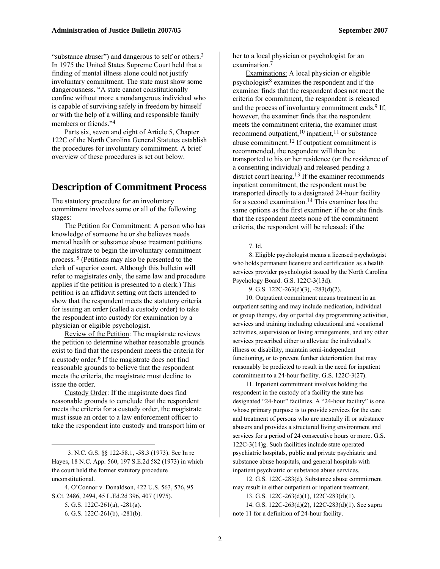"substance abuser") and dangerous to self or others.<sup>3</sup> In 1975 the United States Supreme Court held that a finding of mental illness alone could not justify involuntary commitment. The state must show some dangerousness. "A state cannot constitutionally confine without more a nondangerous individual who is capable of surviving safely in freedom by himself or with the help of a willing and responsible family members or friends."4

Parts six, seven and eight of Article 5, Chapter 122C of the North Carolina General Statutes establish the procedures for involuntary commitment. A brief overview of these procedures is set out below.

# **Description of Commitment Process**

The statutory procedure for an involuntary commitment involves some or all of the following stages:

The Petition for Commitment: A person who has knowledge of someone he or she believes needs mental health or substance abuse treatment petitions the magistrate to begin the involuntary commitment process. 5 (Petitions may also be presented to the clerk of superior court. Although this bulletin will refer to magistrates only, the same law and procedure applies if the petition is presented to a clerk.) This petition is an affidavit setting out facts intended to show that the respondent meets the statutory criteria for issuing an order (called a custody order) to take the respondent into custody for examination by a physician or eligible psychologist.

Review of the Petition: The magistrate reviews the petition to determine whether reasonable grounds exist to find that the respondent meets the criteria for a custody order.<sup>6</sup> If the magistrate does not find reasonable grounds to believe that the respondent meets the criteria, the magistrate must decline to issue the order.

Custody Order: If the magistrate does find reasonable grounds to conclude that the respondent meets the criteria for a custody order, the magistrate must issue an order to a law enforcement officer to take the respondent into custody and transport him or

1

her to a local physician or psychologist for an examination.7

Examinations: A local physician or eligible psychologist $8$  examines the respondent and if the examiner finds that the respondent does not meet the criteria for commitment, the respondent is released and the process of involuntary commitment ends.  $9$  If, however, the examiner finds that the respondent meets the commitment criteria, the examiner must recommend outpatient,<sup>10</sup> inpatient,<sup>11</sup> or substance abuse commitment.12 If outpatient commitment is recommended, the respondent will then be transported to his or her residence (or the residence of a consenting individual) and released pending a district court hearing.<sup>13</sup> If the examiner recommends inpatient commitment, the respondent must be transported directly to a designated 24-hour facility for a second examination.14 This examiner has the same options as the first examiner: if he or she finds that the respondent meets none of the commitment criteria, the respondent will be released; if the

7. Id.

1

 8. Eligible psychologist means a licensed psychologist who holds permanent licensure and certification as a health services provider psychologist issued by the North Carolina Psychology Board. G.S. 122C-3(13d).

9. G.S. 122C-263(d)(3), -283(d)(2).

10. Outpatient commitment means treatment in an outpatient setting and may include medication, individual or group therapy, day or partial day programming activities, services and training including educational and vocational activities, supervision or living arrangements, and any other services prescribed either to alleviate the individual's illness or disability, maintain semi-independent functioning, or to prevent further deterioration that may reasonably be predicted to result in the need for inpatient commitment to a 24-hour facility. G.S. 122C-3(27).

11. Inpatient commitment involves holding the respondent in the custody of a facility the state has designated "24-hour" facilities. A "24-hour facility" is one whose primary purpose is to provide services for the care and treatment of persons who are mentally ill or substance abusers and provides a structured living environment and services for a period of 24 consecutive hours or more. G.S. 122C-3(14)g. Such facilities include state operated psychiatric hospitals, public and private psychiatric and substance abuse hospitals, and general hospitals with inpatient psychiatric or substance abuse services.

12. G.S. 122C-283(d). Substance abuse commitment may result in either outpatient or inpatient treatment.

13. G.S. 122C-263(d)(1), 122C-283(d)(1).

14. G.S. 122C-263(d)(2), 122C-283(d)(1). See supra note 11 for a definition of 24-hour facility.

 <sup>3.</sup> N.C. G.S. §§ 122-58.1, -58.3 (1973). See In re Hayes, 18 N.C. App. 560, 197 S.E.2d 582 (1973) in which the court held the former statutory procedure unconstitutional.

<sup>4.</sup> O'Connor v. Donaldson, 422 U.S. 563, 576, 95 S.Ct. 2486, 2494, 45 L.Ed.2d 396, 407 (1975). 5. G.S. 122C-261(a), -281(a). 6. G.S. 122C-261(b), -281(b).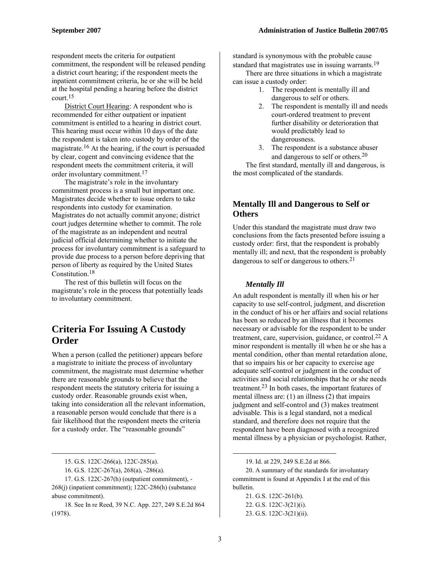respondent meets the criteria for outpatient commitment, the respondent will be released pending a district court hearing; if the respondent meets the inpatient commitment criteria, he or she will be held at the hospital pending a hearing before the district court.15

District Court Hearing: A respondent who is recommended for either outpatient or inpatient commitment is entitled to a hearing in district court. This hearing must occur within 10 days of the date the respondent is taken into custody by order of the magistrate.16 At the hearing, if the court is persuaded by clear, cogent and convincing evidence that the respondent meets the commitment criteria, it will order involuntary commitment.17

The magistrate's role in the involuntary commitment process is a small but important one. Magistrates decide whether to issue orders to take respondents into custody for examination. Magistrates do not actually commit anyone; district court judges determine whether to commit. The role of the magistrate as an independent and neutral judicial official determining whether to initiate the process for involuntary commitment is a safeguard to provide due process to a person before depriving that person of liberty as required by the United States Constitution.18

The rest of this bulletin will focus on the magistrate's role in the process that potentially leads to involuntary commitment.

# **Criteria For Issuing A Custody Order**

When a person (called the petitioner) appears before a magistrate to initiate the process of involuntary commitment, the magistrate must determine whether there are reasonable grounds to believe that the respondent meets the statutory criteria for issuing a custody order. Reasonable grounds exist when, taking into consideration all the relevant information, a reasonable person would conclude that there is a fair likelihood that the respondent meets the criteria for a custody order. The "reasonable grounds"

 $\overline{a}$ 

17. G.S. 122C-267(h) (outpatient commitment), - 268(j) (inpatient commitment); 122C-286(h) (substance abuse commitment).

18. See In re Reed, 39 N.C. App. 227, 249 S.E.2d 864 (1978).

standard is synonymous with the probable cause standard that magistrates use in issuing warrants.<sup>19</sup>

There are three situations in which a magistrate can issue a custody order:

- 1. The respondent is mentally ill and dangerous to self or others.
- 2. The respondent is mentally ill and needs court-ordered treatment to prevent further disability or deterioration that would predictably lead to dangerousness.
- 3. The respondent is a substance abuser and dangerous to self or others.20

The first standard, mentally ill and dangerous, is the most complicated of the standards.

#### **Mentally Ill and Dangerous to Self or Others**

Under this standard the magistrate must draw two conclusions from the facts presented before issuing a custody order: first, that the respondent is probably mentally ill; and next, that the respondent is probably dangerous to self or dangerous to others.<sup>21</sup>

#### *Mentally Ill*

An adult respondent is mentally ill when his or her capacity to use self-control, judgment, and discretion in the conduct of his or her affairs and social relations has been so reduced by an illness that it becomes necessary or advisable for the respondent to be under treatment, care, supervision, guidance, or control.<sup>22</sup> A minor respondent is mentally ill when he or she has a mental condition, other than mental retardation alone, that so impairs his or her capacity to exercise age adequate self-control or judgment in the conduct of activities and social relationships that he or she needs treatment.23 In both cases, the important features of mental illness are:  $(1)$  an illness  $(2)$  that impairs judgment and self-control and (3) makes treatment advisable. This is a legal standard, not a medical standard, and therefore does not require that the respondent have been diagnosed with a recognized mental illness by a physician or psychologist. Rather,

21. G.S. 122C-261(b). 22. G.S. 122C-3(21)(i). 23. G.S. 122C-3(21)(ii).

<sup>15.</sup> G.S. 122C-266(a), 122C-285(a).

<sup>16.</sup> G.S. 122C-267(a), 268(a), -286(a).

<sup>19.</sup> Id. at 229, 249 S.E.2d at 866.

<sup>20.</sup> A summary of the standards for involuntary commitment is found at Appendix I at the end of this bulletin.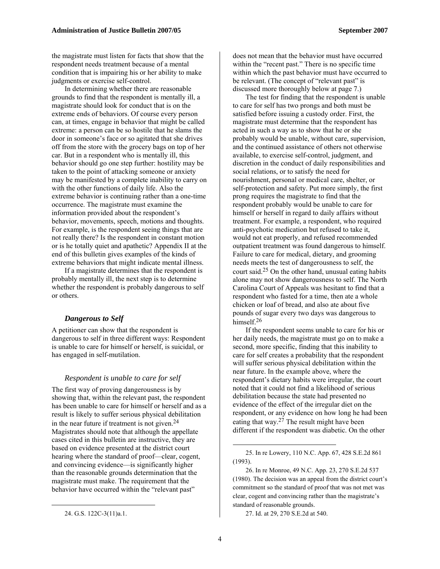the magistrate must listen for facts that show that the respondent needs treatment because of a mental condition that is impairing his or her ability to make judgments or exercise self-control.

In determining whether there are reasonable grounds to find that the respondent is mentally ill, a magistrate should look for conduct that is on the extreme ends of behaviors. Of course every person can, at times, engage in behavior that might be called extreme: a person can be so hostile that he slams the door in someone's face or so agitated that she drives off from the store with the grocery bags on top of her car. But in a respondent who is mentally ill, this behavior should go one step further: hostility may be taken to the point of attacking someone or anxiety may be manifested by a complete inability to carry on with the other functions of daily life. Also the extreme behavior is continuing rather than a one-time occurrence. The magistrate must examine the information provided about the respondent's behavior, movements, speech, motions and thoughts. For example, is the respondent seeing things that are not really there? Is the respondent in constant motion or is he totally quiet and apathetic? Appendix II at the end of this bulletin gives examples of the kinds of extreme behaviors that might indicate mental illness.

If a magistrate determines that the respondent is probably mentally ill, the next step is to determine whether the respondent is probably dangerous to self or others.

#### *Dangerous to Self*

A petitioner can show that the respondent is dangerous to self in three different ways: Respondent is unable to care for himself or herself, is suicidal, or has engaged in self-mutilation.

#### *Respondent is unable to care for self*

The first way of proving dangerousness is by showing that, within the relevant past, the respondent has been unable to care for himself or herself and as a result is likely to suffer serious physical debilitation in the near future if treatment is not given.24 Magistrates should note that although the appellate cases cited in this bulletin are instructive, they are based on evidence presented at the district court hearing where the standard of proof—clear, cogent, and convincing evidence—is significantly higher than the reasonable grounds determination that the magistrate must make. The requirement that the behavior have occurred within the "relevant past"

 $\overline{a}$ 

does not mean that the behavior must have occurred within the "recent past." There is no specific time within which the past behavior must have occurred to be relevant. (The concept of "relevant past" is discussed more thoroughly below at page 7.)

The test for finding that the respondent is unable to care for self has two prongs and both must be satisfied before issuing a custody order. First, the magistrate must determine that the respondent has acted in such a way as to show that he or she probably would be unable, without care, supervision, and the continued assistance of others not otherwise available, to exercise self-control, judgment, and discretion in the conduct of daily responsibilities and social relations, or to satisfy the need for nourishment, personal or medical care, shelter, or self-protection and safety. Put more simply, the first prong requires the magistrate to find that the respondent probably would be unable to care for himself or herself in regard to daily affairs without treatment. For example, a respondent, who required anti-psychotic medication but refused to take it, would not eat properly, and refused recommended outpatient treatment was found dangerous to himself. Failure to care for medical, dietary, and grooming needs meets the test of dangerousness to self, the court said.<sup>25</sup> On the other hand, unusual eating habits alone may not show dangerousness to self. The North Carolina Court of Appeals was hesitant to find that a respondent who fasted for a time, then ate a whole chicken or loaf of bread, and also ate about five pounds of sugar every two days was dangerous to himself.<sup>26</sup>

If the respondent seems unable to care for his or her daily needs, the magistrate must go on to make a second, more specific, finding that this inability to care for self creates a probability that the respondent will suffer serious physical debilitation within the near future. In the example above, where the respondent's dietary habits were irregular, the court noted that it could not find a likelihood of serious debilitation because the state had presented no evidence of the effect of the irregular diet on the respondent, or any evidence on how long he had been eating that way.27 The result might have been different if the respondent was diabetic. On the other

27. Id. at 29, 270 S.E.2d at 540.

<sup>24.</sup> G.S. 122C-3(11)a.1.

<sup>25.</sup> In re Lowery, 110 N.C. App. 67, 428 S.E.2d 861 (1993).

<sup>26.</sup> In re Monroe, 49 N.C. App. 23, 270 S.E.2d 537 (1980). The decision was an appeal from the district court's commitment so the standard of proof that was not met was clear, cogent and convincing rather than the magistrate's standard of reasonable grounds.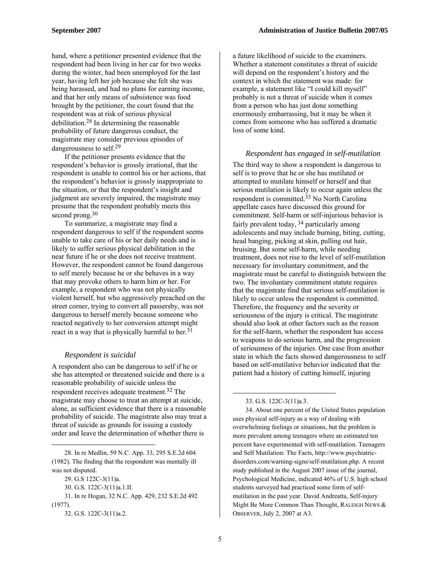hand, where a petitioner presented evidence that the respondent had been living in her car for two weeks during the winter, had been unemployed for the last year, having left her job because she felt she was being harassed, and had no plans for earning income, and that her only means of subsistence was food brought by the petitioner, the court found that the respondent was at risk of serious physical debilitation.28 In determining the reasonable probability of future dangerous conduct, the magistrate may consider previous episodes of dangerousness to self.29

If the petitioner presents evidence that the respondent's behavior is grossly irrational, that the respondent is unable to control his or her actions, that the respondent's behavior is grossly inappropriate to the situation, or that the respondent's insight and judgment are severely impaired, the magistrate may presume that the respondent probably meets this second prong.<sup>30</sup>

To summarize, a magistrate may find a respondent dangerous to self if the respondent seems unable to take care of his or her daily needs and is likely to suffer serious physical debilitation in the near future if he or she does not receive treatment. However, the respondent cannot be found dangerous to self merely because he or she behaves in a way that may provoke others to harm him or her. For example, a respondent who was not physically violent herself, but who aggressively preached on the street corner, trying to convert all passersby, was not dangerous to herself merely because someone who reacted negatively to her conversion attempt might react in a way that is physically harmful to her. $31$ 

#### *Respondent is suicidal*

A respondent also can be dangerous to self if he or she has attempted or threatened suicide and there is a reasonable probability of suicide unless the respondent receives adequate treatment.32 The magistrate may choose to treat an attempt at suicide, alone, as sufficient evidence that there is a reasonable probability of suicide. The magistrate also may treat a threat of suicide as grounds for issuing a custody order and leave the determination of whether there is

1

a future likelihood of suicide to the examiners. Whether a statement constitutes a threat of suicide will depend on the respondent's history and the context in which the statement was made: for example, a statement like "I could kill myself" probably is not a threat of suicide when it comes from a person who has just done something enormously embarrassing, but it may be when it comes from someone who has suffered a dramatic loss of some kind.

#### *Respondent has engaged in self-mutilation*

The third way to show a respondent is dangerous to self is to prove that he or she has mutilated or attempted to mutilate himself or herself and that serious mutilation is likely to occur again unless the respondent is committed.33 No North Carolina appellate cases have discussed this ground for commitment. Self-harm or self-injurious behavior is fairly prevalent today, 34 particularly among adolescents and may include burning, biting, cutting, head banging, picking at skin, pulling out hair, bruising. But some self-harm, while needing treatment, does not rise to the level of self-mutilation necessary for involuntary commitment, and the magistrate must be careful to distinguish between the two. The involuntary commitment statute requires that the magistrate find that serious self-mutilation is likely to occur unless the respondent is committed. Therefore, the frequency and the severity or seriousness of the injury is critical. The magistrate should also look at other factors such as the reason for the self-harm, whether the respondent has access to weapons to do serious harm, and the progression of seriousness of the injuries. One case from another state in which the facts showed dangerousness to self based on self-mutilative behavior indicated that the patient had a history of cutting himself, injuring

34. About one percent of the United States population uses physical self-injury as a way of dealing with overwhelming feelings or situations, but the problem is more prevalent among teenagers where an estimated ten percent have experimented with self-mutilation. Teenagers and Self Mutilation: The Facts, http://www.psychiatricdisorders.com/warning-signs/self-mutilation.php. A recent study published in the August 2007 issue of the journal, Psychological Medicine, indicated 46% of U.S. high school students surveyed had practiced some form of selfmutilation in the past year. David Andreatta, Self-injury Might Be More Common Than Thought, RALEIGH NEWS & OBSERVER, July 2, 2007 at A3.

<sup>28.</sup> In re Medlin, 59 N.C. App. 33, 295 S.E.2d 604 (1982). The finding that the respondent was mentally ill was not disputed.

<sup>29.</sup> G.S 122C-3(11)a.

<sup>30.</sup> G.S. 122C-3(11)a.1.II.

<sup>31.</sup> In re Hogan, 32 N.C. App. 429, 232 S.E.2d 492

<sup>(1977).</sup> 

<sup>32.</sup> G.S. 122C-3(11)a.2.

<sup>33.</sup> G.S. 122C-3(11)a.3.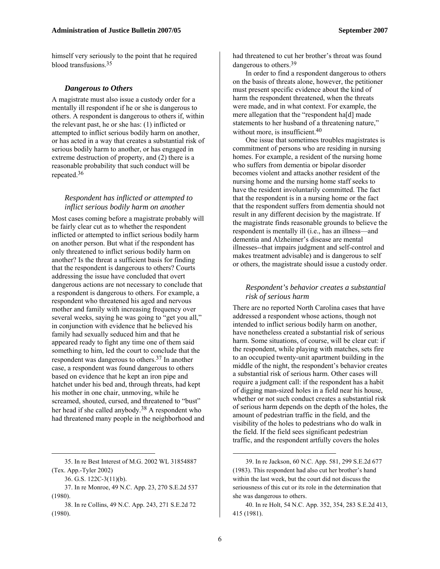himself very seriously to the point that he required blood transfusions 35

#### *Dangerous to Others*

A magistrate must also issue a custody order for a mentally ill respondent if he or she is dangerous to others. A respondent is dangerous to others if, within the relevant past, he or she has: (1) inflicted or attempted to inflict serious bodily harm on another, or has acted in a way that creates a substantial risk of serious bodily harm to another, or has engaged in extreme destruction of property, and (2) there is a reasonable probability that such conduct will be repeated.36

#### *Respondent has inflicted or attempted to inflict serious bodily harm on another*

Most cases coming before a magistrate probably will be fairly clear cut as to whether the respondent inflicted or attempted to inflict serious bodily harm on another person. But what if the respondent has only threatened to inflict serious bodily harm on another? Is the threat a sufficient basis for finding that the respondent is dangerous to others? Courts addressing the issue have concluded that overt dangerous actions are not necessary to conclude that a respondent is dangerous to others. For example, a respondent who threatened his aged and nervous mother and family with increasing frequency over several weeks, saying he was going to "get you all," in conjunction with evidence that he believed his family had sexually seduced him and that he appeared ready to fight any time one of them said something to him, led the court to conclude that the respondent was dangerous to others.37 In another case, a respondent was found dangerous to others based on evidence that he kept an iron pipe and hatchet under his bed and, through threats, had kept his mother in one chair, unmoving, while he screamed, shouted, cursed, and threatened to "bust" her head if she called anybody.<sup>38</sup> A respondent who had threatened many people in the neighborhood and

1

had threatened to cut her brother's throat was found dangerous to others.39

In order to find a respondent dangerous to others on the basis of threats alone, however, the petitioner must present specific evidence about the kind of harm the respondent threatened, when the threats were made, and in what context. For example, the mere allegation that the "respondent ha[d] made statements to her husband of a threatening nature," without more, is insufficient.<sup>40</sup>

One issue that sometimes troubles magistrates is commitment of persons who are residing in nursing homes. For example, a resident of the nursing home who suffers from dementia or bipolar disorder becomes violent and attacks another resident of the nursing home and the nursing home staff seeks to have the resident involuntarily committed. The fact that the respondent is in a nursing home or the fact that the respondent suffers from dementia should not result in any different decision by the magistrate. If the magistrate finds reasonable grounds to believe the respondent is mentally ill (i.e., has an illness—and dementia and Alzheimer's disease are mental illnesses--that impairs judgment and self-control and makes treatment advisable) and is dangerous to self or others, the magistrate should issue a custody order.

#### *Respondent's behavior creates a substantial risk of serious harm*

There are no reported North Carolina cases that have addressed a respondent whose actions, though not intended to inflict serious bodily harm on another, have nonetheless created a substantial risk of serious harm. Some situations, of course, will be clear cut: if the respondent, while playing with matches, sets fire to an occupied twenty-unit apartment building in the middle of the night, the respondent's behavior creates a substantial risk of serious harm. Other cases will require a judgment call: if the respondent has a habit of digging man-sized holes in a field near his house, whether or not such conduct creates a substantial risk of serious harm depends on the depth of the holes, the amount of pedestrian traffic in the field, and the visibility of the holes to pedestrians who do walk in the field. If the field sees significant pedestrian traffic, and the respondent artfully covers the holes

<sup>35.</sup> In re Best Interest of M.G. 2002 WL 31854887 (Tex. App.-Tyler 2002)

<sup>36.</sup> G.S. 122C-3(11)(b).

<sup>37.</sup> In re Monroe, 49 N.C. App. 23, 270 S.E.2d 537 (1980).

<sup>38.</sup> In re Collins, 49 N.C. App. 243, 271 S.E.2d 72 (1980).

<sup>39.</sup> In re Jackson, 60 N.C. App. 581, 299 S.E.2d 677 (1983). This respondent had also cut her brother's hand within the last week, but the court did not discuss the seriousness of this cut or its role in the determination that she was dangerous to others.

<sup>40.</sup> In re Holt, 54 N.C. App. 352, 354, 283 S.E.2d 413, 415 (1981).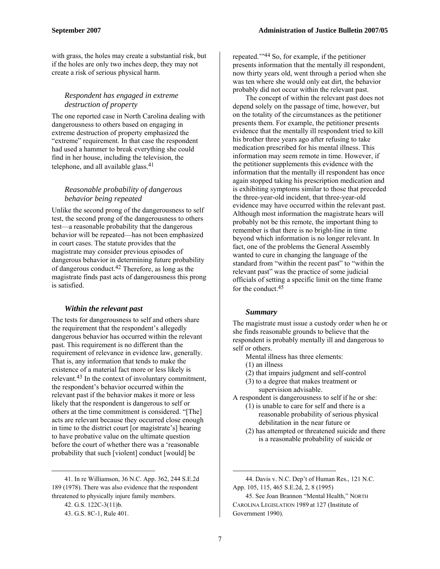with grass, the holes may create a substantial risk, but if the holes are only two inches deep, they may not create a risk of serious physical harm.

#### *Respondent has engaged in extreme destruction of property*

The one reported case in North Carolina dealing with dangerousness to others based on engaging in extreme destruction of property emphasized the "extreme" requirement. In that case the respondent had used a hammer to break everything she could find in her house, including the television, the telephone, and all available glass.<sup>41</sup>

#### *Reasonable probability of dangerous behavior being repeated*

Unlike the second prong of the dangerousness to self test, the second prong of the dangerousness to others test—a reasonable probability that the dangerous behavior will be repeated—has not been emphasized in court cases. The statute provides that the magistrate may consider previous episodes of dangerous behavior in determining future probability of dangerous conduct.42 Therefore, as long as the magistrate finds past acts of dangerousness this prong is satisfied.

#### *Within the relevant past*

The tests for dangerousness to self and others share the requirement that the respondent's allegedly dangerous behavior has occurred within the relevant past*.* This requirement is no different than the requirement of relevance in evidence law, generally. That is, any information that tends to make the existence of a material fact more or less likely is relevant.43 In the context of involuntary commitment, the respondent's behavior occurred within the relevant past if the behavior makes it more or less likely that the respondent is dangerous to self or others at the time commitment is considered. "[The] acts are relevant because they occurred close enough in time to the district court [or magistrate's] hearing to have probative value on the ultimate question before the court of whether there was a 'reasonable probability that such [violent] conduct [would] be

41. In re Williamson, 36 N.C. App. 362, 244 S.E.2d 189 (1978). There was also evidence that the respondent threatened to physically injure family members.

1

repeated.'"44 So, for example, if the petitioner presents information that the mentally ill respondent, now thirty years old, went through a period when she was ten where she would only eat dirt, the behavior probably did not occur within the relevant past.

The concept of within the relevant past does not depend solely on the passage of time, however, but on the totality of the circumstances as the petitioner presents them. For example, the petitioner presents evidence that the mentally ill respondent tried to kill his brother three years ago after refusing to take medication prescribed for his mental illness. This information may seem remote in time. However, if the petitioner supplements this evidence with the information that the mentally ill respondent has once again stopped taking his prescription medication and is exhibiting symptoms similar to those that preceded the three-year-old incident, that three-year-old evidence may have occurred within the relevant past. Although most information the magistrate hears will probably not be this remote, the important thing to remember is that there is no bright-line in time beyond which information is no longer relevant. In fact, one of the problems the General Assembly wanted to cure in changing the language of the standard from "within the recent past" to "within the relevant past" was the practice of some judicial officials of setting a specific limit on the time frame for the conduct.45

#### *Summary*

The magistrate must issue a custody order when he or she finds reasonable grounds to believe that the respondent is probably mentally ill and dangerous to self or others.

- Mental illness has three elements:
- (1) an illness
- (2) that impairs judgment and self-control
- (3) to a degree that makes treatment or supervision advisable.

A respondent is dangerousness to self if he or she:

- (1) is unable to care for self and there is a reasonable probability of serious physical debilitation in the near future or
- (2) has attempted or threatened suicide and there is a reasonable probability of suicide or

<sup>42.</sup> G.S. 122C-3(11)b.

<sup>43.</sup> G.S. 8C-1, Rule 401.

<sup>44.</sup> Davis v. N.C. Dep't of Human Res., 121 N.C. App. 105, 115, 465 S.E.2d, 2, 8 (1995)

<sup>45.</sup> See Joan Brannon "Mental Health," NORTH CAROLINA LEGISLATION 1989 at 127 (Institute of Government 1990).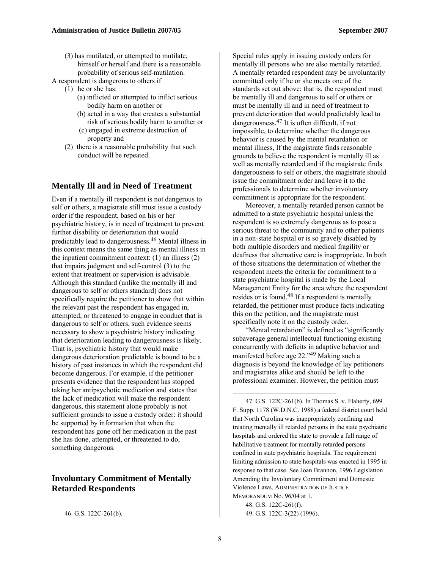(3) has mutilated, or attempted to mutilate, himself or herself and there is a reasonable probability of serious self-mutilation.

A respondent is dangerous to others if

- (1) he or she has:
	- (a) inflicted or attempted to inflict serious bodily harm on another or
	- (b) acted in a way that creates a substantial risk of serious bodily harm to another or
	- (c) engaged in extreme destruction of property and
- (2) there is a reasonable probability that such conduct will be repeated.

#### **Mentally Ill and in Need of Treatment**

Even if a mentally ill respondent is not dangerous to self or others, a magistrate still must issue a custody order if the respondent, based on his or her psychiatric history, is in need of treatment to prevent further disability or deterioration that would predictably lead to dangerousness.46 Mental illness in this context means the same thing as mental illness in the inpatient commitment context: (1) an illness (2) that impairs judgment and self-control (3) to the extent that treatment or supervision is advisable. Although this standard (unlike the mentally ill and dangerous to self or others standard) does not specifically require the petitioner to show that within the relevant past the respondent has engaged in, attempted, or threatened to engage in conduct that is dangerous to self or others, such evidence seems necessary to show a psychiatric history indicating that deterioration leading to dangerousness is likely. That is, psychiatric history that would make dangerous deterioration predictable is bound to be a history of past instances in which the respondent did become dangerous. For example, if the petitioner presents evidence that the respondent has stopped taking her antipsychotic medication and states that the lack of medication will make the respondent dangerous, this statement alone probably is not sufficient grounds to issue a custody order: it should be supported by information that when the respondent has gone off her medication in the past she has done, attempted, or threatened to do, something dangerous.

#### **Involuntary Commitment of Mentally Retarded Respondents**

 $\overline{a}$ 

Special rules apply in issuing custody orders for mentally ill persons who are also mentally retarded. A mentally retarded respondent may be involuntarily committed only if he or she meets one of the standards set out above; that is, the respondent must be mentally ill and dangerous to self or others or must be mentally ill and in need of treatment to prevent deterioration that would predictably lead to dangerousness.47 It is often difficult, if not impossible, to determine whether the dangerous behavior is caused by the mental retardation or mental illness, If the magistrate finds reasonable grounds to believe the respondent is mentally ill as well as mentally retarded and if the magistrate finds dangerousness to self or others, the magistrate should issue the commitment order and leave it to the professionals to determine whether involuntary commitment is appropriate for the respondent.

Moreover, a mentally retarded person cannot be admitted to a state psychiatric hospital unless the respondent is so extremely dangerous as to pose a serious threat to the community and to other patients in a non-state hospital or is so gravely disabled by both multiple disorders and medical fragility or deafness that alternative care is inappropriate. In both of those situations the determination of whether the respondent meets the criteria for commitment to a state psychiatric hospital is made by the Local Management Entity for the area where the respondent resides or is found.48 If a respondent is mentally retarded, the petitioner must produce facts indicating this on the petition, and the magistrate must specifically note it on the custody order.

"Mental retardation" is defined as "significantly subaverage general intellectual functioning existing concurrently with deficits in adaptive behavior and manifested before age 22."49 Making such a diagnosis is beyond the knowledge of lay petitioners and magistrates alike and should be left to the professional examiner. However, the petition must

48. G.S. 122C-261(f). 49. G.S. 122C-3(22) (1996).

<sup>46.</sup> G.S. 122C-261(b).

<sup>47.</sup> G.S. 122C-261(b). In Thomas S. v. Flaherty, 699 F. Supp. 1178 (W.D.N.C. 1988) a federal district court held that North Carolina was inappropriately confining and treating mentally ill retarded persons in the state psychiatric hospitals and ordered the state to provide a full range of habilitative treatment for mentally retarded persons confined in state psychiatric hospitals. The requirement limiting admission to state hospitals was enacted in 1995 in response to that case. See Joan Brannon, 1996 Legislation Amending the Involuntary Commitment and Domestic Violence Laws, ADMINISTRATION OF JUSTICE MEMORANDUM No. 96/04 at 1.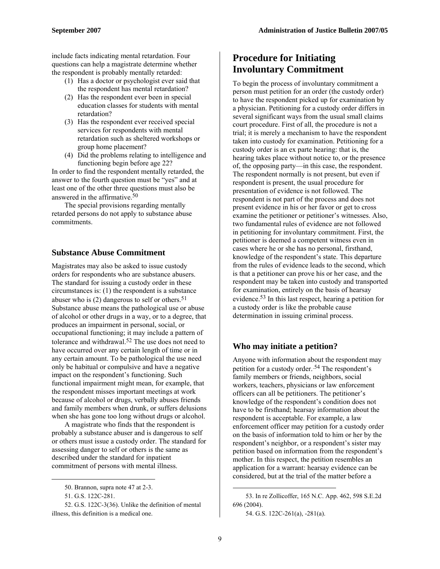include facts indicating mental retardation. Four questions can help a magistrate determine whether the respondent is probably mentally retarded:

- (1) Has a doctor or psychologist ever said that the respondent has mental retardation?
- (2) Has the respondent ever been in special education classes for students with mental retardation?
- (3) Has the respondent ever received special services for respondents with mental retardation such as sheltered workshops or group home placement?
- (4) Did the problems relating to intelligence and functioning begin before age 22?

In order to find the respondent mentally retarded, the answer to the fourth question must be "yes" and at least one of the other three questions must also be answered in the affirmative.50

The special provisions regarding mentally retarded persons do not apply to substance abuse commitments.

#### **Substance Abuse Commitment**

Magistrates may also be asked to issue custody orders for respondents who are substance abusers. The standard for issuing a custody order in these circumstances is: (1) the respondent is a substance abuser who is  $(2)$  dangerous to self or others.<sup>51</sup> Substance abuse means the pathological use or abuse of alcohol or other drugs in a way, or to a degree, that produces an impairment in personal, social, or occupational functioning; it may include a pattern of tolerance and withdrawal.52 The use does not need to have occurred over any certain length of time or in any certain amount. To be pathological the use need only be habitual or compulsive and have a negative impact on the respondent's functioning. Such functional impairment might mean, for example, that the respondent misses important meetings at work because of alcohol or drugs, verbally abuses friends and family members when drunk, or suffers delusions when she has gone too long without drugs or alcohol.

A magistrate who finds that the respondent is probably a substance abuser and is dangerous to self or others must issue a custody order. The standard for assessing danger to self or others is the same as described under the standard for inpatient commitment of persons with mental illness.

 $\overline{a}$ 

# **Procedure for Initiating Involuntary Commitment**

To begin the process of involuntary commitment a person must petition for an order (the custody order) to have the respondent picked up for examination by a physician. Petitioning for a custody order differs in several significant ways from the usual small claims court procedure. First of all, the procedure is not a trial; it is merely a mechanism to have the respondent taken into custody for examination. Petitioning for a custody order is an ex parte hearing: that is, the hearing takes place without notice to, or the presence of, the opposing party—in this case, the respondent. The respondent normally is not present, but even if respondent is present, the usual procedure for presentation of evidence is not followed. The respondent is not part of the process and does not present evidence in his or her favor or get to cross examine the petitioner or petitioner's witnesses. Also, two fundamental rules of evidence are not followed in petitioning for involuntary commitment. First, the petitioner is deemed a competent witness even in cases where he or she has no personal, firsthand, knowledge of the respondent's state. This departure from the rules of evidence leads to the second, which is that a petitioner can prove his or her case, and the respondent may be taken into custody and transported for examination, entirely on the basis of hearsay evidence.53 In this last respect, hearing a petition for a custody order is like the probable cause determination in issuing criminal process.

#### **Who may initiate a petition?**

Anyone with information about the respondent may petition for a custody order.<sup>54</sup> The respondent's family members or friends, neighbors, social workers, teachers, physicians or law enforcement officers can all be petitioners. The petitioner's knowledge of the respondent's condition does not have to be firsthand; hearsay information about the respondent is acceptable. For example, a law enforcement officer may petition for a custody order on the basis of information told to him or her by the respondent's neighbor, or a respondent's sister may petition based on information from the respondent's mother. In this respect, the petition resembles an application for a warrant: hearsay evidence can be considered, but at the trial of the matter before a

<sup>50.</sup> Brannon, supra note 47 at 2-3.

<sup>51.</sup> G.S. 122C-281.

<sup>52.</sup> G.S. 122C-3(36). Unlike the definition of mental illness, this definition is a medical one.

<sup>53.</sup> In re Zollicoffer, 165 N.C. App. 462, 598 S.E.2d 696 (2004).

<sup>54.</sup> G.S. 122C-261(a), -281(a).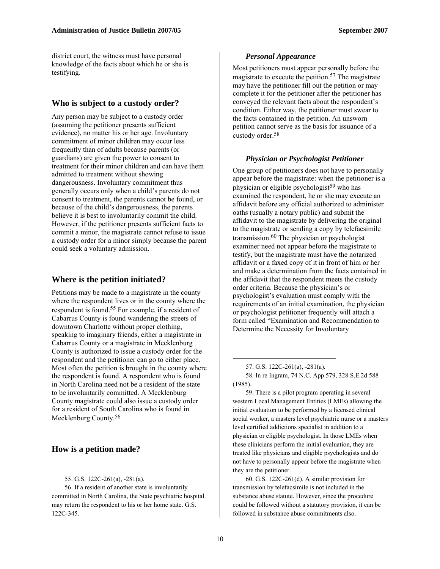district court, the witness must have personal knowledge of the facts about which he or she is testifying.

#### **Who is subject to a custody order?**

Any person may be subject to a custody order (assuming the petitioner presents sufficient evidence), no matter his or her age. Involuntary commitment of minor children may occur less frequently than of adults because parents (or guardians) are given the power to consent to treatment for their minor children and can have them admitted to treatment without showing dangerousness. Involuntary commitment thus generally occurs only when a child's parents do not consent to treatment, the parents cannot be found, or because of the child's dangerousness, the parents believe it is best to involuntarily commit the child. However, if the petitioner presents sufficient facts to commit a minor, the magistrate cannot refuse to issue a custody order for a minor simply because the parent could seek a voluntary admission.

#### **Where is the petition initiated?**

Petitions may be made to a magistrate in the county where the respondent lives or in the county where the respondent is found.55 For example, if a resident of Cabarrus County is found wandering the streets of downtown Charlotte without proper clothing, speaking to imaginary friends, either a magistrate in Cabarrus County or a magistrate in Mecklenburg County is authorized to issue a custody order for the respondent and the petitioner can go to either place. Most often the petition is brought in the county where the respondent is found. A respondent who is found in North Carolina need not be a resident of the state to be involuntarily committed. A Mecklenburg County magistrate could also issue a custody order for a resident of South Carolina who is found in Mecklenburg County.<sup>56</sup>

#### **How is a petition made?**

 $\overline{a}$ 

#### *Personal Appearance*

Most petitioners must appear personally before the magistrate to execute the petition.57 The magistrate may have the petitioner fill out the petition or may complete it for the petitioner after the petitioner has conveyed the relevant facts about the respondent's condition. Either way, the petitioner must swear to the facts contained in the petition. An unsworn petition cannot serve as the basis for issuance of a custody order.58

#### *Physician or Psychologist Petitioner*

One group of petitioners does not have to personally appear before the magistrate: when the petitioner is a physician or eligible psychologist<sup>59</sup> who has examined the respondent, he or she may execute an affidavit before any official authorized to administer oaths (usually a notary public) and submit the affidavit to the magistrate by delivering the original to the magistrate or sending a copy by telefacsimile transmission.60 The physician or psychologist examiner need not appear before the magistrate to testify, but the magistrate must have the notarized affidavit or a faxed copy of it in front of him or her and make a determination from the facts contained in the affidavit that the respondent meets the custody order criteria. Because the physician's or psychologist's evaluation must comply with the requirements of an initial examination, the physician or psychologist petitioner frequently will attach a form called "Examination and Recommendation to Determine the Necessity for Involuntary

59. There is a pilot program operating in several western Local Management Entities (LMEs) allowing the initial evaluation to be performed by a licensed clinical social worker, a masters level psychiatric nurse or a masters level certified addictions specialist in addition to a physician or eligible psychologist. In those LMEs when these clinicians perform the initial evaluation, they are treated like physicians and eligible psychologists and do not have to personally appear before the magistrate when they are the petitioner.

60. G.S. 122C-261(d). A similar provision for transmission by telefacsimile is not included in the substance abuse statute. However, since the procedure could be followed without a statutory provision, it can be followed in substance abuse commitments also.

<sup>55.</sup> G.S. 122C-261(a), -281(a).

<sup>56.</sup> If a resident of another state is involuntarily committed in North Carolina, the State psychiatric hospital may return the respondent to his or her home state. G.S. 122C-345.

<sup>57.</sup> G.S. 122C-261(a), -281(a).

<sup>58.</sup> In re Ingram, 74 N.C. App 579, 328 S.E.2d 588 (1985).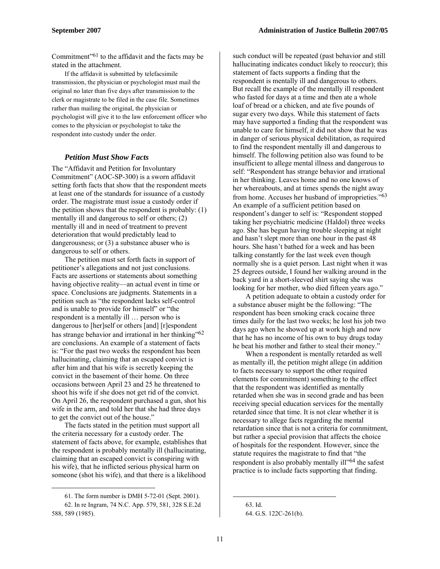Commitment"61 to the affidavit and the facts may be stated in the attachment.

If the affidavit is submitted by telefacsimile transmission, the physician or psychologist must mail the original no later than five days after transmission to the clerk or magistrate to be filed in the case file. Sometimes rather than mailing the original, the physician or psychologist will give it to the law enforcement officer who comes to the physician or psychologist to take the respondent into custody under the order.

#### *Petition Must Show Facts*

The "Affidavit and Petition for Involuntary Commitment" (AOC-SP-300) is a sworn affidavit setting forth facts that show that the respondent meets at least one of the standards for issuance of a custody order. The magistrate must issue a custody order if the petition shows that the respondent is probably: (1) mentally ill and dangerous to self or others; (2) mentally ill and in need of treatment to prevent deterioration that would predictably lead to dangerousness; or (3) a substance abuser who is dangerous to self or others.

The petition must set forth facts in support of petitioner's allegations and not just conclusions. Facts are assertions or statements about something having objective reality—an actual event in time or space. Conclusions are judgments. Statements in a petition such as "the respondent lacks self-control and is unable to provide for himself" or "the respondent is a mentally ill … person who is dangerous to [her]self or others [and] [r]espondent has strange behavior and irrational in her thinking"<sup>62</sup> are conclusions. An example of a statement of facts is: "For the past two weeks the respondent has been hallucinating, claiming that an escaped convict is after him and that his wife is secretly keeping the convict in the basement of their home. On three occasions between April 23 and 25 he threatened to shoot his wife if she does not get rid of the convict. On April 26, the respondent purchased a gun, shot his wife in the arm, and told her that she had three days to get the convict out of the house."

The facts stated in the petition must support all the criteria necessary for a custody order. The statement of facts above, for example, establishes that the respondent is probably mentally ill (hallucinating, claiming that an escaped convict is conspiring with his wife), that he inflicted serious physical harm on someone (shot his wife), and that there is a likelihood

1

such conduct will be repeated (past behavior and still hallucinating indicates conduct likely to reoccur); this statement of facts supports a finding that the respondent is mentally ill and dangerous to others. But recall the example of the mentally ill respondent who fasted for days at a time and then ate a whole loaf of bread or a chicken, and ate five pounds of sugar every two days. While this statement of facts may have supported a finding that the respondent was unable to care for himself, it did not show that he was in danger of serious physical debilitation, as required to find the respondent mentally ill and dangerous to himself. The following petition also was found to be insufficient to allege mental illness and dangerous to self: "Respondent has strange behavior and irrational in her thinking. Leaves home and no one knows of her whereabouts, and at times spends the night away from home. Accuses her husband of improprieties."63 An example of a sufficient petition based on respondent's danger to self is: "Respondent stopped taking her psychiatric medicine (Haldol) three weeks ago. She has begun having trouble sleeping at night and hasn't slept more than one hour in the past 48 hours. She hasn't bathed for a week and has been talking constantly for the last week even though normally she is a quiet person. Last night when it was 25 degrees outside, I found her walking around in the back yard in a short-sleeved shirt saying she was looking for her mother, who died fifteen years ago."

A petition adequate to obtain a custody order for a substance abuser might be the following: "The respondent has been smoking crack cocaine three times daily for the last two weeks; he lost his job two days ago when he showed up at work high and now that he has no income of his own to buy drugs today he beat his mother and father to steal their money."

When a respondent is mentally retarded as well as mentally ill, the petition might allege (in addition to facts necessary to support the other required elements for commitment) something to the effect that the respondent was identified as mentally retarded when she was in second grade and has been receiving special education services for the mentally retarded since that time. It is not clear whether it is necessary to allege facts regarding the mental retardation since that is not a criteria for commitment, but rather a special provision that affects the choice of hospitals for the respondent. However, since the statute requires the magistrate to find that "the respondent is also probably mentally ill<sup>364</sup> the safest practice is to include facts supporting that finding.

<sup>61.</sup> The form number is DMH 5-72-01 (Sept. 2001).

<sup>62.</sup> In re Ingram, 74 N.C. App. 579, 581, 328 S.E.2d 588, 589 (1985).

<sup>63.</sup> Id. 64. G.S. 122C-261(b).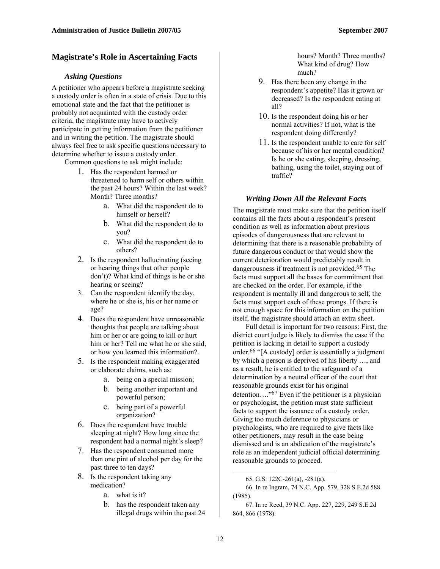#### **Magistrate's Role in Ascertaining Facts**

#### *Asking Questions*

A petitioner who appears before a magistrate seeking a custody order is often in a state of crisis. Due to this emotional state and the fact that the petitioner is probably not acquainted with the custody order criteria, the magistrate may have to actively participate in getting information from the petitioner and in writing the petition. The magistrate should always feel free to ask specific questions necessary to determine whether to issue a custody order.

Common questions to ask might include:

- 1. Has the respondent harmed or threatened to harm self or others within the past 24 hours? Within the last week? Month? Three months?
	- a. What did the respondent do to himself or herself?
	- b. What did the respondent do to you?
	- c. What did the respondent do to others?
- 2. Is the respondent hallucinating (seeing or hearing things that other people don't)? What kind of things is he or she hearing or seeing?
- 3. Can the respondent identify the day, where he or she is, his or her name or age?
- 4. Does the respondent have unreasonable thoughts that people are talking about him or her or are going to kill or hurt him or her? Tell me what he or she said, or how you learned this information?.
- 5. Is the respondent making exaggerated or elaborate claims, such as:
	- a. being on a special mission;
	- b. being another important and powerful person;
	- c. being part of a powerful organization?
- 6. Does the respondent have trouble sleeping at night? How long since the respondent had a normal night's sleep?
- 7. Has the respondent consumed more than one pint of alcohol per day for the past three to ten days?
- 8. Is the respondent taking any medication?
	- a. what is it?
	- b. has the respondent taken any illegal drugs within the past 24

hours? Month? Three months? What kind of drug? How much?

- 9. Has there been any change in the respondent's appetite? Has it grown or decreased? Is the respondent eating at all?
- 10. Is the respondent doing his or her normal activities? If not, what is the respondent doing differently?
- 11. Is the respondent unable to care for self because of his or her mental condition? Is he or she eating, sleeping, dressing, bathing, using the toilet, staying out of traffic?

#### *Writing Down All the Relevant Facts*

The magistrate must make sure that the petition itself contains all the facts about a respondent's present condition as well as information about previous episodes of dangerousness that are relevant to determining that there is a reasonable probability of future dangerous conduct or that would show the current deterioration would predictably result in dangerousness if treatment is not provided.<sup>65</sup> The facts must support all the bases for commitment that are checked on the order. For example, if the respondent is mentally ill and dangerous to self, the facts must support each of these prongs. If there is not enough space for this information on the petition itself, the magistrate should attach an extra sheet.

Full detail is important for two reasons: First, the district court judge is likely to dismiss the case if the petition is lacking in detail to support a custody order.66 "[A custody] order is essentially a judgment by which a person is deprived of his liberty …, and as a result, he is entitled to the safeguard of a determination by a neutral officer of the court that reasonable grounds exist for his original detention…."67 Even if the petitioner is a physician or psychologist, the petition must state sufficient facts to support the issuance of a custody order. Giving too much deference to physicians or psychologists, who are required to give facts like other petitioners, may result in the case being dismissed and is an abdication of the magistrate's role as an independent judicial official determining reasonable grounds to proceed.

67. In re Reed, 39 N.C. App. 227, 229, 249 S.E.2d 864, 866 (1978).

<sup>65.</sup> G.S. 122C-261(a), -281(a).

<sup>66.</sup> In re Ingram, 74 N.C. App. 579, 328 S.E.2d 588 (1985).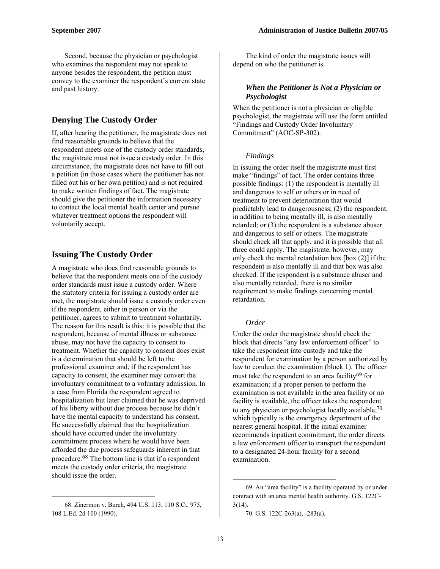Second, because the physician or psychologist who examines the respondent may not speak to anyone besides the respondent, the petition must convey to the examiner the respondent's current state and past history.

# **Denying The Custody Order**

If, after hearing the petitioner, the magistrate does not find reasonable grounds to believe that the respondent meets one of the custody order standards, the magistrate must not issue a custody order. In this circumstance, the magistrate does not have to fill out a petition (in those cases where the petitioner has not filled out his or her own petition) and is not required to make written findings of fact. The magistrate should give the petitioner the information necessary to contact the local mental health center and pursue whatever treatment options the respondent will voluntarily accept.

# **Issuing The Custody Order**

A magistrate who does find reasonable grounds to believe that the respondent meets one of the custody order standards must issue a custody order. Where the statutory criteria for issuing a custody order are met, the magistrate should issue a custody order even if the respondent, either in person or via the petitioner, agrees to submit to treatment voluntarily. The reason for this result is this: it is possible that the respondent, because of mental illness or substance abuse, may not have the capacity to consent to treatment. Whether the capacity to consent does exist is a determination that should be left to the professional examiner and, if the respondent has capacity to consent, the examiner may convert the involuntary commitment to a voluntary admission. In a case from Florida the respondent agreed to hospitalization but later claimed that he was deprived of his liberty without due process because he didn't have the mental capacity to understand his consent. He successfully claimed that the hospitalization should have occurred under the involuntary commitment process where he would have been afforded the due process safeguards inherent in that procedure.68 The bottom line is that if a respondent meets the custody order criteria, the magistrate should issue the order.

 $\overline{a}$ 

The kind of order the magistrate issues will depend on who the petitioner is.

#### *When the Petitioner is Not a Physician or Psychologist*

When the petitioner is not a physician or eligible psychologist, the magistrate will use the form entitled "Findings and Custody Order Involuntary Commitment" (AOC-SP-302).

#### *Findings*

In issuing the order itself the magistrate must first make "findings" of fact. The order contains three possible findings: (1) the respondent is mentally ill and dangerous to self or others or in need of treatment to prevent deterioration that would predictably lead to dangerousness; (2) the respondent, in addition to being mentally ill, is also mentally retarded; or (3) the respondent is a substance abuser and dangerous to self or others. The magistrate should check all that apply, and it is possible that all three could apply. The magistrate, however, may only check the mental retardation box [box (2)] if the respondent is also mentally ill and that box was also checked. If the respondent is a substance abuser and also mentally retarded, there is no similar requirement to make findings concerning mental retardation.

#### *Order*

Under the order the magistrate should check the block that directs "any law enforcement officer" to take the respondent into custody and take the respondent for examination by a person authorized by law to conduct the examination (block 1). The officer must take the respondent to an area facility<sup>69</sup> for examination; if a proper person to perform the examination is not available in the area facility or no facility is available, the officer takes the respondent to any physician or psychologist locally available,  $70$ which typically is the emergency department of the nearest general hospital. If the initial examiner recommends inpatient commitment, the order directs a law enforcement officer to transport the respondent to a designated 24-hour facility for a second examination.

<sup>68.</sup> Zinermon v. Burch, 494 U.S. 113, 110 S.Ct. 975, 108 L.Ed. 2d 100 (1990).

<sup>69.</sup> An "area facility" is a facility operated by or under contract with an area mental health authority. G.S. 122C-3(14).

<sup>70.</sup> G.S. 122C-263(a), -283(a).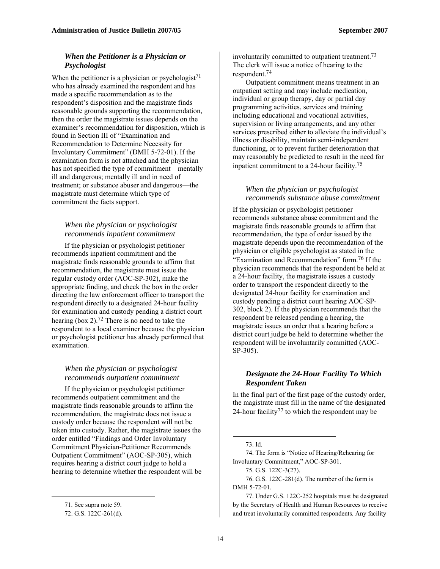#### *When the Petitioner is a Physician or Psychologist*

When the petitioner is a physician or psychologist<sup>71</sup> who has already examined the respondent and has made a specific recommendation as to the respondent's disposition and the magistrate finds reasonable grounds supporting the recommendation, then the order the magistrate issues depends on the examiner's recommendation for disposition, which is found in Section III of "Examination and Recommendation to Determine Necessity for Involuntary Commitment" (DMH 5-72-01). If the examination form is not attached and the physician has not specified the type of commitment—mentally ill and dangerous; mentally ill and in need of treatment; or substance abuser and dangerous—the magistrate must determine which type of commitment the facts support.

#### *When the physician or psychologist recommends inpatient commitment*

If the physician or psychologist petitioner recommends inpatient commitment and the magistrate finds reasonable grounds to affirm that recommendation, the magistrate must issue the regular custody order (AOC-SP-302), make the appropriate finding, and check the box in the order directing the law enforcement officer to transport the respondent directly to a designated 24-hour facility for examination and custody pending a district court hearing (box 2).72 There is no need to take the respondent to a local examiner because the physician or psychologist petitioner has already performed that examination.

#### *When the physician or psychologist recommends outpatient commitment*

If the physician or psychologist petitioner recommends outpatient commitment and the magistrate finds reasonable grounds to affirm the recommendation, the magistrate does not issue a custody order because the respondent will not be taken into custody. Rather, the magistrate issues the order entitled "Findings and Order Involuntary Commitment Physician-Petitioner Recommends Outpatient Commitment" (AOC-SP-305), which requires hearing a district court judge to hold a hearing to determine whether the respondent will be

 $\overline{a}$ 

involuntarily committed to outpatient treatment.<sup>73</sup> The clerk will issue a notice of hearing to the respondent.74

Outpatient commitment means treatment in an outpatient setting and may include medication, individual or group therapy, day or partial day programming activities, services and training including educational and vocational activities, supervision or living arrangements, and any other services prescribed either to alleviate the individual's illness or disability, maintain semi-independent functioning, or to prevent further deterioration that may reasonably be predicted to result in the need for inpatient commitment to a 24-hour facility.75

#### *When the physician or psychologist recommends substance abuse commitment*

If the physician or psychologist petitioner recommends substance abuse commitment and the magistrate finds reasonable grounds to affirm that recommendation, the type of order issued by the magistrate depends upon the recommendation of the physician or eligible psychologist as stated in the "Examination and Recommendation" form.76 If the physician recommends that the respondent be held at a 24-hour facility, the magistrate issues a custody order to transport the respondent directly to the designated 24-hour facility for examination and custody pending a district court hearing AOC-SP-302, block 2). If the physician recommends that the respondent be released pending a hearing, the magistrate issues an order that a hearing before a district court judge be held to determine whether the respondent will be involuntarily committed (AOC-SP-305).

#### *Designate the 24-Hour Facility To Which Respondent Taken*

In the final part of the first page of the custody order, the magistrate must fill in the name of the designated 24-hour facility<sup>77</sup> to which the respondent may be

 $\overline{a}$ 

75. G.S. 122C-3(27).

76. G.S. 122C-281(d). The number of the form is DMH 5-72-01.

77. Under G.S. 122C-252 hospitals must be designated by the Secretary of Health and Human Resources to receive and treat involuntarily committed respondents. Any facility

<sup>71.</sup> See supra note 59.

<sup>72.</sup> G.S. 122C-261(d).

<sup>73.</sup> Id.

<sup>74.</sup> The form is "Notice of Hearing/Rehearing for Involuntary Commitment," AOC-SP-301.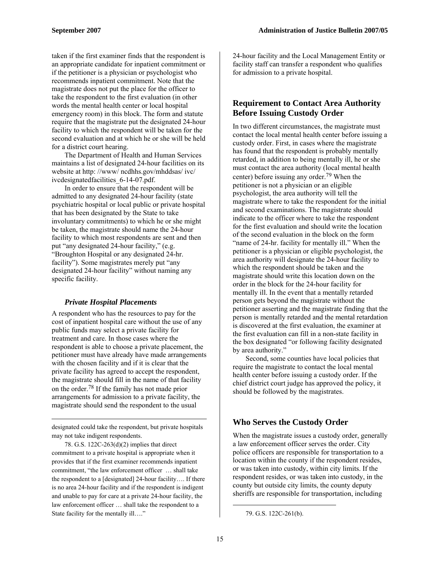taken if the first examiner finds that the respondent is an appropriate candidate for inpatient commitment or if the petitioner is a physician or psychologist who recommends inpatient commitment. Note that the magistrate does not put the place for the officer to take the respondent to the first evaluation (in other words the mental health center or local hospital emergency room) in this block. The form and statute require that the magistrate put the designated 24-hour facility to which the respondent will be taken for the second evaluation and at which he or she will be held for a district court hearing.

The Department of Health and Human Services maintains a list of designated 24-hour facilities on its website at http: //www/ ncdhhs.gov/mhddsas/ ivc/ ivcdesignatedfacilities\_6-14-07.pdf.

In order to ensure that the respondent will be admitted to any designated 24-hour facility (state psychiatric hospital or local public or private hospital that has been designated by the State to take involuntary commitments) to which he or she might be taken, the magistrate should name the 24-hour facility to which most respondents are sent and then put "any designated 24-hour facility," (e.g. "Broughton Hospital or any designated 24-hr. facility"). Some magistrates merely put "any designated 24-hour facility" without naming any specific facility.

#### *Private Hospital Placements*

A respondent who has the resources to pay for the cost of inpatient hospital care without the use of any public funds may select a private facility for treatment and care. In those cases where the respondent is able to choose a private placement, the petitioner must have already have made arrangements with the chosen facility and if it is clear that the private facility has agreed to accept the respondent, the magistrate should fill in the name of that facility on the order.78 If the family has not made prior arrangements for admission to a private facility, the magistrate should send the respondent to the usual

designated could take the respondent, but private hospitals may not take indigent respondents.

1

78. G.S. 122C-263(d)(2) implies that direct commitment to a private hospital is appropriate when it provides that if the first examiner recommends inpatient commitment, "the law enforcement officer … shall take the respondent to a [designated] 24-hour facility…. If there is no area 24-hour facility and if the respondent is indigent and unable to pay for care at a private 24-hour facility, the law enforcement officer … shall take the respondent to a State facility for the mentally ill…."

24-hour facility and the Local Management Entity or facility staff can transfer a respondent who qualifies for admission to a private hospital.

#### **Requirement to Contact Area Authority Before Issuing Custody Order**

In two different circumstances, the magistrate must contact the local mental health center before issuing a custody order. First, in cases where the magistrate has found that the respondent is probably mentally retarded, in addition to being mentally ill, he or she must contact the area authority (local mental health center) before issuing any order.79 When the petitioner is not a physician or an eligible psychologist, the area authority will tell the magistrate where to take the respondent for the initial and second examinations. The magistrate should indicate to the officer where to take the respondent for the first evaluation and should write the location of the second evaluation in the block on the form "name of 24-hr. facility for mentally ill." When the petitioner is a physician or eligible psychologist, the area authority will designate the 24-hour facility to which the respondent should be taken and the magistrate should write this location down on the order in the block for the 24-hour facility for mentally ill. In the event that a mentally retarded person gets beyond the magistrate without the petitioner asserting and the magistrate finding that the person is mentally retarded and the mental retardation is discovered at the first evaluation, the examiner at the first evaluation can fill in a non-state facility in the box designated "or following facility designated by area authority."

Second, some counties have local policies that require the magistrate to contact the local mental health center before issuing a custody order. If the chief district court judge has approved the policy, it should be followed by the magistrates.

### **Who Serves the Custody Order**

When the magistrate issues a custody order, generally a law enforcement officer serves the order. City police officers are responsible for transportation to a location within the county if the respondent resides, or was taken into custody, within city limits. If the respondent resides, or was taken into custody, in the county but outside city limits, the county deputy sheriffs are responsible for transportation, including

<sup>79.</sup> G.S. 122C-261(b).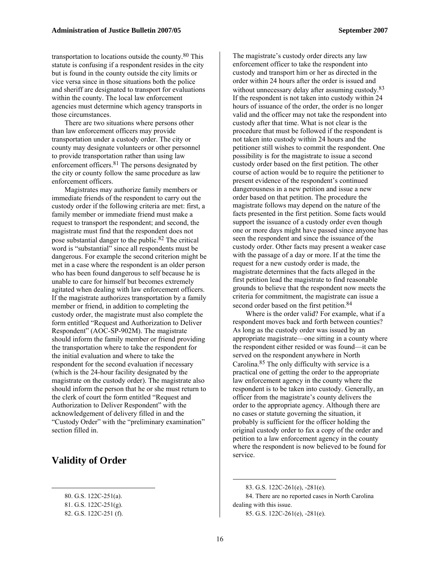transportation to locations outside the county.80 This statute is confusing if a respondent resides in the city but is found in the county outside the city limits or vice versa since in those situations both the police and sheriff are designated to transport for evaluations within the county. The local law enforcement agencies must determine which agency transports in those circumstances.

There are two situations where persons other than law enforcement officers may provide transportation under a custody order. The city or county may designate volunteers or other personnel to provide transportation rather than using law enforcement officers.81 The persons designated by the city or county follow the same procedure as law enforcement officers.

Magistrates may authorize family members or immediate friends of the respondent to carry out the custody order if the following criteria are met: first, a family member or immediate friend must make a request to transport the respondent; and second, the magistrate must find that the respondent does not pose substantial danger to the public.82 The critical word is "substantial" since all respondents must be dangerous. For example the second criterion might be met in a case where the respondent is an older person who has been found dangerous to self because he is unable to care for himself but becomes extremely agitated when dealing with law enforcement officers. If the magistrate authorizes transportation by a family member or friend, in addition to completing the custody order, the magistrate must also complete the form entitled "Request and Authorization to Deliver Respondent" (AOC-SP-902M). The magistrate should inform the family member or friend providing the transportation where to take the respondent for the initial evaluation and where to take the respondent for the second evaluation if necessary (which is the 24-hour facility designated by the magistrate on the custody order). The magistrate also should inform the person that he or she must return to the clerk of court the form entitled "Request and Authorization to Deliver Respondent" with the acknowledgement of delivery filled in and the "Custody Order" with the "preliminary examination" section filled in.

# **Validity of Order**

 $\overline{a}$ 

The magistrate's custody order directs any law enforcement officer to take the respondent into custody and transport him or her as directed in the order within 24 hours after the order is issued and without unnecessary delay after assuming custody.<sup>83</sup> If the respondent is not taken into custody within 24 hours of issuance of the order, the order is no longer valid and the officer may not take the respondent into custody after that time. What is not clear is the procedure that must be followed if the respondent is not taken into custody within 24 hours and the petitioner still wishes to commit the respondent. One possibility is for the magistrate to issue a second custody order based on the first petition. The other course of action would be to require the petitioner to present evidence of the respondent's continued dangerousness in a new petition and issue a new order based on that petition. The procedure the magistrate follows may depend on the nature of the facts presented in the first petition. Some facts would support the issuance of a custody order even though one or more days might have passed since anyone has seen the respondent and since the issuance of the custody order. Other facts may present a weaker case with the passage of a day or more. If at the time the request for a new custody order is made, the magistrate determines that the facts alleged in the first petition lead the magistrate to find reasonable grounds to believe that the respondent now meets the criteria for commitment, the magistrate can issue a second order based on the first petition.<sup>84</sup>

Where is the order valid? For example, what if a respondent moves back and forth between counties? As long as the custody order was issued by an appropriate magistrate—one sitting in a county where the respondent either resided or was found—it can be served on the respondent anywhere in North Carolina.85 The only difficulty with service is a practical one of getting the order to the appropriate law enforcement agency in the county where the respondent is to be taken into custody. Generally, an officer from the magistrate's county delivers the order to the appropriate agency. Although there are no cases or statute governing the situation, it probably is sufficient for the officer holding the original custody order to fax a copy of the order and petition to a law enforcement agency in the county where the respondent is now believed to be found for service.

<sup>80.</sup> G.S. 122C-251(a).

<sup>81.</sup> G.S. 122C-251(g).

<sup>82.</sup> G.S. 122C-251 (f).

<sup>83.</sup> G.S. 122C-261(e), -281(e). 84. There are no reported cases in North Carolina dealing with this issue. 85. G.S. 122C-261(e), -281(e).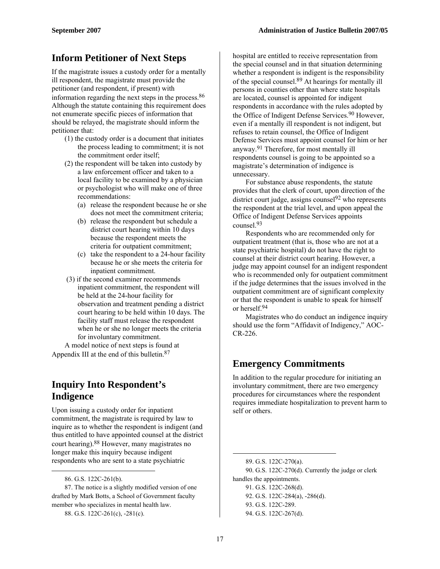# **Inform Petitioner of Next Steps**

If the magistrate issues a custody order for a mentally ill respondent, the magistrate must provide the petitioner (and respondent, if present) with information regarding the next steps in the process.86 Although the statute containing this requirement does not enumerate specific pieces of information that should be relayed, the magistrate should inform the petitioner that:

- (1) the custody order is a document that initiates the process leading to commitment; it is not the commitment order itself;
- (2) the respondent will be taken into custody by a law enforcement officer and taken to a local facility to be examined by a physician or psychologist who will make one of three recommendations:
	- (a) release the respondent because he or she does not meet the commitment criteria;
	- (b) release the respondent but schedule a district court hearing within 10 days because the respondent meets the criteria for outpatient commitment;
	- (c) take the respondent to a 24-hour facility because he or she meets the criteria for inpatient commitment.
- (3) if the second examiner recommends inpatient commitment, the respondent will be held at the 24-hour facility for observation and treatment pending a district court hearing to be held within 10 days. The facility staff must release the respondent when he or she no longer meets the criteria for involuntary commitment.

A model notice of next steps is found at Appendix III at the end of this bulletin.87

# **Inquiry Into Respondent's Indigence**

Upon issuing a custody order for inpatient commitment, the magistrate is required by law to inquire as to whether the respondent is indigent (and thus entitled to have appointed counsel at the district court hearing).88 However, many magistrates no longer make this inquiry because indigent respondents who are sent to a state psychiatric

 $\overline{a}$ 

hospital are entitled to receive representation from the special counsel and in that situation determining whether a respondent is indigent is the responsibility of the special counsel.89 At hearings for mentally ill persons in counties other than where state hospitals are located, counsel is appointed for indigent respondents in accordance with the rules adopted by the Office of Indigent Defense Services.<sup>90</sup> However, even if a mentally ill respondent is not indigent, but refuses to retain counsel, the Office of Indigent Defense Services must appoint counsel for him or her anyway.91 Therefore, for most mentally ill respondents counsel is going to be appointed so a magistrate's determination of indigence is unnecessary.

For substance abuse respondents, the statute provides that the clerk of court, upon direction of the district court judge, assigns counsel $92$  who represents the respondent at the trial level, and upon appeal the Office of Indigent Defense Services appoints counsel.93

Respondents who are recommended only for outpatient treatment (that is, those who are not at a state psychiatric hospital) do not have the right to counsel at their district court hearing. However, a judge may appoint counsel for an indigent respondent who is recommended only for outpatient commitment if the judge determines that the issues involved in the outpatient commitment are of significant complexity or that the respondent is unable to speak for himself or herself.94

Magistrates who do conduct an indigence inquiry should use the form "Affidavit of Indigency," AOC-CR-226.

# **Emergency Commitments**

In addition to the regular procedure for initiating an involuntary commitment, there are two emergency procedures for circumstances where the respondent requires immediate hospitalization to prevent harm to self or others.

93. G.S. 122C-289. 94. G.S. 122C-267(d).

<sup>86.</sup> G.S. 122C-261(b).

<sup>87.</sup> The notice is a slightly modified version of one drafted by Mark Botts, a School of Government faculty member who specializes in mental health law.

<sup>88.</sup> G.S. 122C-261(c), -281(c).

<sup>89.</sup> G.S. 122C-270(a). 90. G.S. 122C-270(d). Currently the judge or clerk handles the appointments. 91. G.S. 122C-268(d). 92. G.S. 122C-284(a), -286(d).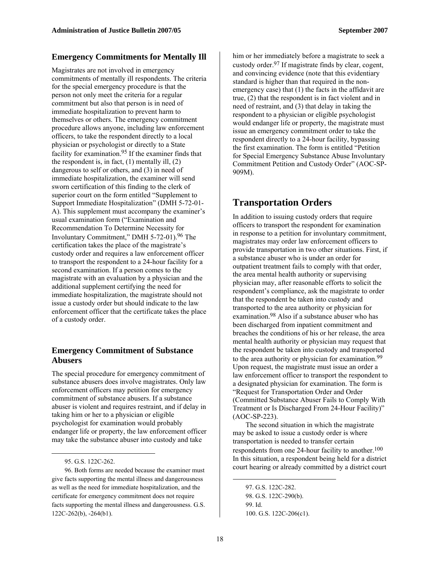#### **Emergency Commitments for Mentally Ill**

Magistrates are not involved in emergency commitments of mentally ill respondents. The criteria for the special emergency procedure is that the person not only meet the criteria for a regular commitment but also that person is in need of immediate hospitalization to prevent harm to themselves or others. The emergency commitment procedure allows anyone, including law enforcement officers, to take the respondent directly to a local physician or psychologist or directly to a State facility for examination.95 If the examiner finds that the respondent is, in fact,  $(1)$  mentally ill,  $(2)$ dangerous to self or others, and (3) in need of immediate hospitalization, the examiner will send sworn certification of this finding to the clerk of superior court on the form entitled "Supplement to Support Immediate Hospitalization" (DMH 5-72-01- A). This supplement must accompany the examiner's usual examination form ("Examination and Recommendation To Determine Necessity for Involuntary Commitment," DMH 5-72-01).96 The certification takes the place of the magistrate's custody order and requires a law enforcement officer to transport the respondent to a 24-hour facility for a second examination. If a person comes to the magistrate with an evaluation by a physician and the additional supplement certifying the need for immediate hospitalization, the magistrate should not issue a custody order but should indicate to the law enforcement officer that the certificate takes the place of a custody order.

#### **Emergency Commitment of Substance Abusers**

The special procedure for emergency commitment of substance abusers does involve magistrates. Only law enforcement officers may petition for emergency commitment of substance abusers. If a substance abuser is violent and requires restraint, and if delay in taking him or her to a physician or eligible psychologist for examination would probably endanger life or property, the law enforcement officer may take the substance abuser into custody and take

 $\overline{a}$ 

him or her immediately before a magistrate to seek a custody order.97 If magistrate finds by clear, cogent, and convincing evidence (note that this evidentiary standard is higher than that required in the nonemergency case) that (1) the facts in the affidavit are true, (2) that the respondent is in fact violent and in need of restraint, and (3) that delay in taking the respondent to a physician or eligible psychologist would endanger life or property, the magistrate must issue an emergency commitment order to take the respondent directly to a 24-hour facility, bypassing the first examination. The form is entitled "Petition for Special Emergency Substance Abuse Involuntary Commitment Petition and Custody Order" (AOC-SP-909M).

# **Transportation Orders**

In addition to issuing custody orders that require officers to transport the respondent for examination in response to a petition for involuntary commitment, magistrates may order law enforcement officers to provide transportation in two other situations. First, if a substance abuser who is under an order for outpatient treatment fails to comply with that order, the area mental health authority or supervising physician may, after reasonable efforts to solicit the respondent's compliance, ask the magistrate to order that the respondent be taken into custody and transported to the area authority or physician for examination.98 Also if a substance abuser who has been discharged from inpatient commitment and breaches the conditions of his or her release, the area mental health authority or physician may request that the respondent be taken into custody and transported to the area authority or physician for examination.<sup>99</sup> Upon request, the magistrate must issue an order a law enforcement officer to transport the respondent to a designated physician for examination. The form is "Request for Transportation Order and Order (Committed Substance Abuser Fails to Comply With Treatment or Is Discharged From 24-Hour Facility)" (AOC-SP-223).

The second situation in which the magistrate may be asked to issue a custody order is where transportation is needed to transfer certain respondents from one 24-hour facility to another.<sup>100</sup> In this situation, a respondent being held for a district court hearing or already committed by a district court

97. G.S. 122C-282. 98. G.S. 122C-290(b). 99. Id. 100. G.S. 122C-206(c1).

<sup>95.</sup> G.S. 122C-262.

<sup>96.</sup> Both forms are needed because the examiner must give facts supporting the mental illness and dangerousness as well as the need for immediate hospitalization, and the certificate for emergency commitment does not require facts supporting the mental illness and dangerousness. G.S. 122C-262(b), -264(b1).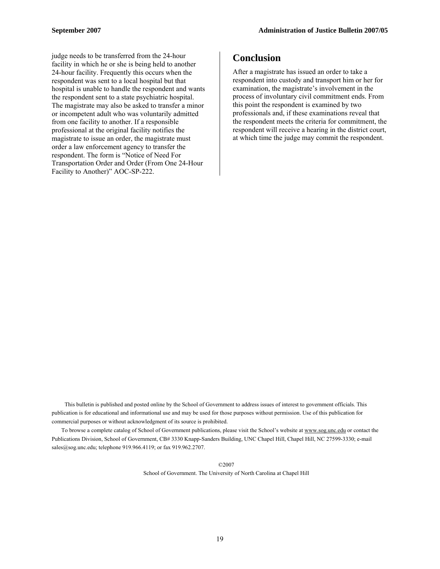judge needs to be transferred from the 24-hour facility in which he or she is being held to another 24-hour facility. Frequently this occurs when the respondent was sent to a local hospital but that hospital is unable to handle the respondent and wants the respondent sent to a state psychiatric hospital. The magistrate may also be asked to transfer a minor or incompetent adult who was voluntarily admitted from one facility to another. If a responsible professional at the original facility notifies the magistrate to issue an order, the magistrate must order a law enforcement agency to transfer the respondent. The form is "Notice of Need For Transportation Order and Order (From One 24-Hour Facility to Another)" AOC-SP-222.

# **Conclusion**

After a magistrate has issued an order to take a respondent into custody and transport him or her for examination, the magistrate's involvement in the process of involuntary civil commitment ends. From this point the respondent is examined by two professionals and, if these examinations reveal that the respondent meets the criteria for commitment, the respondent will receive a hearing in the district court, at which time the judge may commit the respondent.

This bulletin is published and posted online by the School of Government to address issues of interest to government officials. This publication is for educational and informational use and may be used for those purposes without permission. Use of this publication for commercial purposes or without acknowledgment of its source is prohibited.

To browse a complete catalog of School of Government publications, please visit the School's website at www.sog.unc.edu or contact the Publications Division, School of Government, CB# 3330 Knapp-Sanders Building, UNC Chapel Hill, Chapel Hill, NC 27599-3330; e-mail sales@sog.unc.edu; telephone 919.966.4119; or fax 919.962.2707.

©2007

School of Government. The University of North Carolina at Chapel Hill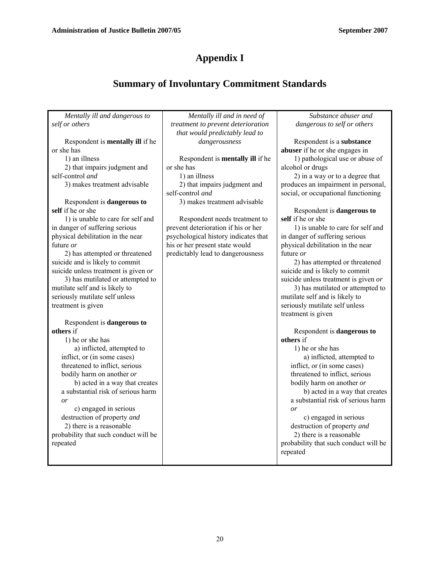# **Appendix I**

# **Summary of Involuntary Commitment Standards**

| Mentally ill and dangerous to           | Mentally ill and in need of          | Substance abuser and                  |
|-----------------------------------------|--------------------------------------|---------------------------------------|
| self or others                          | treatment to prevent deterioration   | dangerous to self or others           |
|                                         | that would predictably lead to       |                                       |
| Respondent is <b>mentally ill</b> if he | dangerousness                        | Respondent is a substance             |
| or she has                              |                                      | abuser if he or she engages in        |
| 1) an illness                           | Respondent is mentally ill if he     | 1) pathological use or abuse of       |
| 2) that impairs judgment and            | or she has                           | alcohol or drugs                      |
| self-control and                        | 1) an illness                        | 2) in a way or to a degree that       |
| 3) makes treatment advisable            | 2) that impairs judgment and         | produces an impairment in personal,   |
|                                         | self-control and                     | social, or occupational functioning   |
| Respondent is dangerous to              | 3) makes treatment advisable         |                                       |
| self if he or she                       |                                      | Respondent is dangerous to            |
| 1) is unable to care for self and       | Respondent needs treatment to        | self if he or she                     |
| in danger of suffering serious          | prevent deterioration if his or her  | 1) is unable to care for self and     |
| physical debilitation in the near       | psychological history indicates that | in danger of suffering serious        |
| future or                               | his or her present state would       | physical debilitation in the near     |
| 2) has attempted or threatened          | predictably lead to dangerousness    | future or                             |
| suicide and is likely to commit         |                                      | 2) has attempted or threatened        |
| suicide unless treatment is given or    |                                      | suicide and is likely to commit       |
| 3) has mutilated or attempted to        |                                      | suicide unless treatment is given or  |
| mutilate self and is likely to          |                                      | 3) has mutilated or attempted to      |
| seriously mutilate self unless          |                                      | mutilate self and is likely to        |
| treatment is given                      |                                      | seriously mutilate self unless        |
|                                         |                                      | treatment is given                    |
| Respondent is dangerous to              |                                      |                                       |
| others if                               |                                      | Respondent is dangerous to            |
| 1) he or she has                        |                                      | others if                             |
| a) inflicted, attempted to              |                                      | 1) he or she has                      |
| inflict, or (in some cases)             |                                      | a) inflicted, attempted to            |
| threatened to inflict, serious          |                                      | inflict, or (in some cases)           |
| bodily harm on another or               |                                      | threatened to inflict, serious        |
| b) acted in a way that creates          |                                      | bodily harm on another or             |
| a substantial risk of serious harm      |                                      | b) acted in a way that creates        |
| or                                      |                                      | a substantial risk of serious harm    |
| c) engaged in serious                   |                                      | or                                    |
| destruction of property and             |                                      | c) engaged in serious                 |
| 2) there is a reasonable                |                                      | destruction of property and           |
| probability that such conduct will be   |                                      | 2) there is a reasonable              |
| repeated                                |                                      | probability that such conduct will be |
|                                         |                                      | repeated                              |
|                                         |                                      |                                       |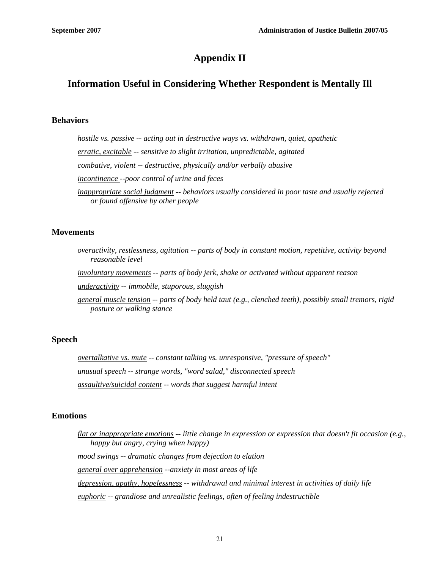# **Appendix II**

# **Information Useful in Considering Whether Respondent is Mentally Ill**

#### **Behaviors**

*hostile vs. passive -- acting out in destructive ways vs. withdrawn, quiet, apathetic erratic, excitable -- sensitive to slight irritation, unpredictable, agitated combative, violent -- destructive, physically and/or verbally abusive incontinence --poor control of urine and feces inappropriate social judgment -- behaviors usually considered in poor taste and usually rejected or found offensive by other people* 

#### **Movements**

- *overactivity, restlessness, agitation -- parts of body in constant motion, repetitive, activity beyond reasonable level*
- *involuntary movements -- parts of body jerk, shake or activated without apparent reason*

*underactivity -- immobile, stuporous, sluggish* 

*general muscle tension -- parts of body held taut (e.g., clenched teeth), possibly small tremors, rigid posture or walking stance* 

#### **Speech**

*overtalkative vs. mute -- constant talking vs. unresponsive, "pressure of speech" unusual speech -- strange words, "word salad," disconnected speech assaultive/suicidal content -- words that suggest harmful intent* 

#### **Emotions**

*flat or inappropriate emotions -- little change in expression or expression that doesn't fit occasion (e.g., happy but angry, crying when happy) mood swings -- dramatic changes from dejection to elation general over apprehension --anxiety in most areas of life depression, apathy, hopelessness -- withdrawal and minimal interest in activities of daily life euphoric -- grandiose and unrealistic feelings, often of feeling indestructible*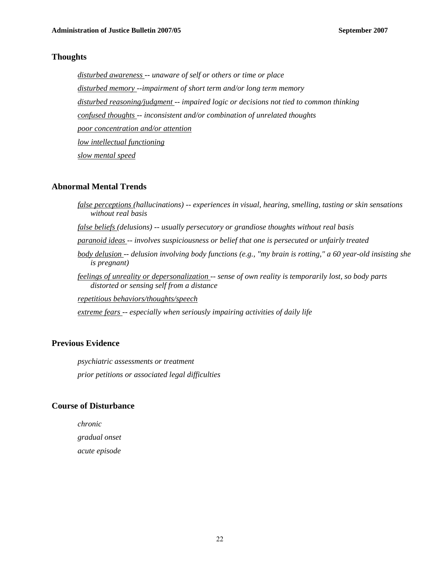#### **Thoughts**

*disturbed awareness -- unaware of self or others or time or place disturbed memory --impairment of short term and/or long term memory disturbed reasoning/judgment -- impaired logic or decisions not tied to common thinking confused thoughts -- inconsistent and/or combination of unrelated thoughts poor concentration and/or attention low intellectual functioning slow mental speed*

#### **Abnormal Mental Trends**

*false perceptions (hallucinations) -- experiences in visual, hearing, smelling, tasting or skin sensations without real basis false beliefs (delusions) -- usually persecutory or grandiose thoughts without real basis paranoid ideas -- involves suspiciousness or belief that one is persecuted or unfairly treated body delusion -- delusion involving body functions (e.g., "my brain is rotting," a 60 year-old insisting she is pregnant) feelings of unreality or depersonalization -- sense of own reality is temporarily lost, so body parts distorted or sensing self from a distance repetitious behaviors/thoughts/speech extreme fears -- especially when seriously impairing activities of daily life* 

#### **Previous Evidence**

*psychiatric assessments or treatment prior petitions or associated legal difficulties*

#### **Course of Disturbance**

*chronic gradual onset acute episode*